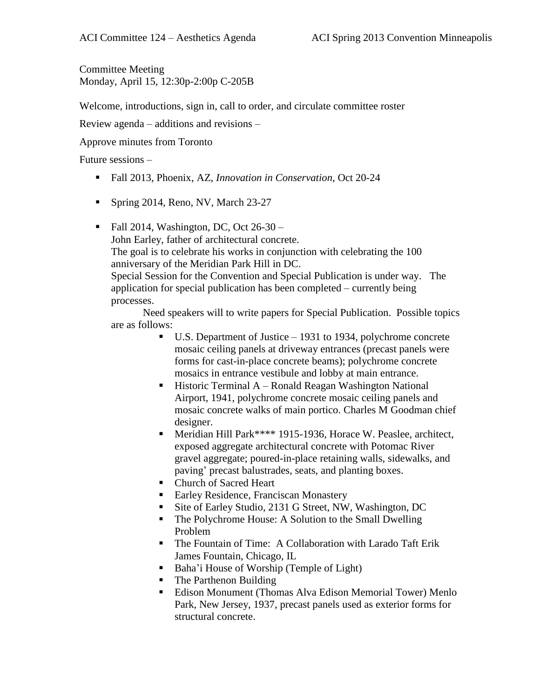Committee Meeting Monday, April 15, 12:30p-2:00p C-205B

Welcome, introductions, sign in, call to order, and circulate committee roster

Review agenda – additions and revisions –

Approve minutes from Toronto

Future sessions –

- Fall 2013, Phoenix, AZ, *Innovation in Conservation*, Oct 20-24
- Spring 2014, Reno, NV, March 23-27

Fall 2014, Washington, DC, Oct  $26-30$  – John Earley, father of architectural concrete. The goal is to celebrate his works in conjunction with celebrating the 100 anniversary of the Meridian Park Hill in DC. Special Session for the Convention and Special Publication is under way. The application for special publication has been completed – currently being processes.

Need speakers will to write papers for Special Publication. Possible topics are as follows:

- U.S. Department of Justice 1931 to 1934, polychrome concrete mosaic ceiling panels at driveway entrances (precast panels were forms for cast-in-place concrete beams); polychrome concrete mosaics in entrance vestibule and lobby at main entrance.
- **Historic Terminal A Ronald Reagan Washington National** Airport, 1941, polychrome concrete mosaic ceiling panels and mosaic concrete walks of main portico. Charles M Goodman chief designer.
- Meridian Hill Park\*\*\*\* 1915-1936, Horace W. Peaslee, architect, exposed aggregate architectural concrete with Potomac River gravel aggregate; poured-in-place retaining walls, sidewalks, and paving' precast balustrades, seats, and planting boxes.
- Church of Sacred Heart
- Earley Residence, Franciscan Monastery
- Site of Earley Studio, 2131 G Street, NW, Washington, DC
- The Polychrome House: A Solution to the Small Dwelling Problem
- The Fountain of Time: A Collaboration with Larado Taft Erik James Fountain, Chicago, IL
- Baha'i House of Worship (Temple of Light)
- The Parthenon Building
- Edison Monument (Thomas Alva Edison Memorial Tower) Menlo Park, New Jersey, 1937, precast panels used as exterior forms for structural concrete.